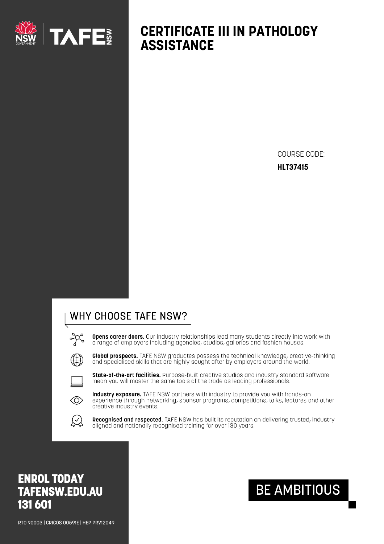

## **CERTIFICATE III IN PATHOLOGY ASSISTANCE**

**COURSE CODE: HLT37415** 

### WHY CHOOSE TAFE NSW?

**Opens career doors.** Our industry relationships lead many students directly into work with a range of employers including agencies, studios, galleries and fashion houses.



Global prospects. TAFE NSW graduates possess the technical knowledge, creative-thinking and specialised skills that are highly sought after by employers around the world.



State-of-the-art facilities. Purpose-built creative studios and industry standard software mean you will master the same tools of the trade as leading professionals.



Industry exposure. TAFE NSW partners with industry to provide you with hands-on experience through networking, sponsor programs, competitions, talks, lectures and other creative industry events.



Recognised and respected. TAFE NSW has built its reputation on delivering trusted, industry aligned and nationally recognised training for over 130 years.

## **ENROL TODAY TAFENSW.EDU.AU** 131 601

RT0 90003 | CRICOS 00591E | HEP PRV12049

# **BE AMBITIOUS**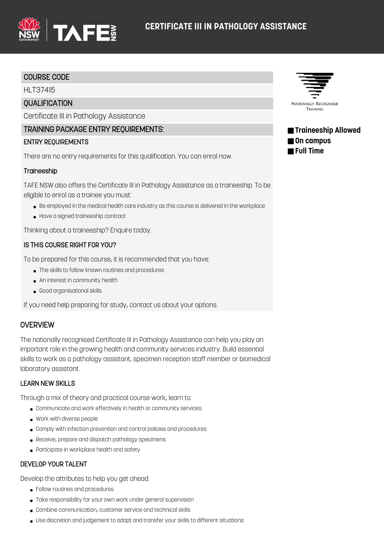

#### COURSE CODE

**HIT37415** 

#### **OUALIFICATION**

Certificate III in Pathology Assistance

#### TRAINING PACKAGE ENTRY REQUIREMENTS:

#### ENTRY REQUIREMENTS

There are no entry requirements for this qualification. You can enrol now.

#### **Traineeship**

TAFE NSW also offers the Certificate III in Pathology Assistance as a traineeship. To be eligible to enrol as a trainee you must:

- Be employed in the medical health care industry as this course is delivered in the workplace
- Have a signed traineeship contract

Thinking about a traineeship? Enquire today.

#### IS THIS COURSE RIGHT FOR YOU?

To be prepared for this course, it is recommended that you have:

- The skills to follow known routines and procedures
- An interest in community health
- Good organisational skills

If you need help preparing for study, contact us about your options.

#### **OVERVIEW**

The nationally recognised Certificate III in Pathology Assistance can help you play an important role in the growing health and community services industry. Build essential skills to work as a pathology assistant, specimen reception staff member or biomedical laboratory assistant.

#### LEARN NEW SKILLS

Through a mix of theory and practical course work, learn to:

- Communicate and work effectively in health or community services
- Work with diverse people
- Comply with infection prevention and control policies and procedures
- Receive, prepare and dispatch pathology specimens
- Participate in workplace health and safety

#### DEVELOP YOUR TALENT

Develop the attributes to help you get ahead:

- Follow routines and procedures
- Take responsibility for your own work under general supervision
- Combine communication, customer service and technical skills
- Use discretion and judgement to adapt and transfer your skills to different situations



### ■ **Traineeship Allowed** ■ **On campus** ■ **Full Time**